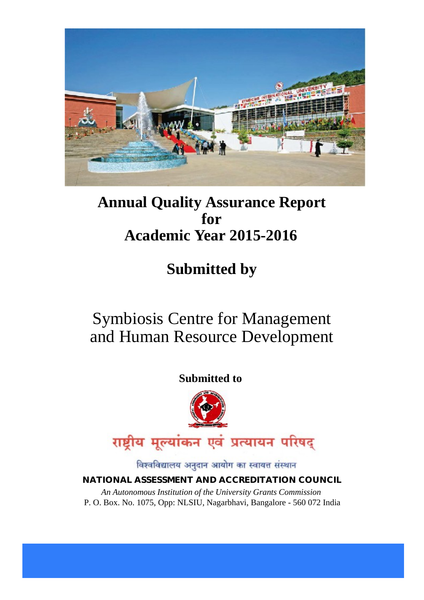

# **Annual Quality Assurance Report for Academic Year 2015-2016**

# **Submitted by**

# Symbiosis Centre for Management and Human Resource Development

## **Submitted to**



विश्वविद्यालय अनुदान आयोग का स्वायत्त संस्थान

### **NATIONAL ASSESSMENT AND ACCREDITATION COUNCIL**

*An Autonomous Institution of the University Grants Commission* P. O. Box. No. 1075, Opp: NLSIU, Nagarbhavi, Bangalore - 560 072 India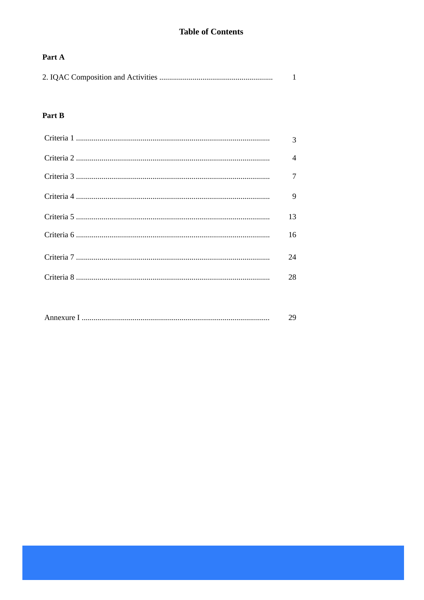### **Table of Contents**

### Part A

|--|--|

### Part B

| $\mathcal{R}$            |
|--------------------------|
| $\overline{\mathcal{A}}$ |
| $\tau$                   |
| 9                        |
| 13                       |
| 16                       |
| 24                       |
| 28                       |

|--|--|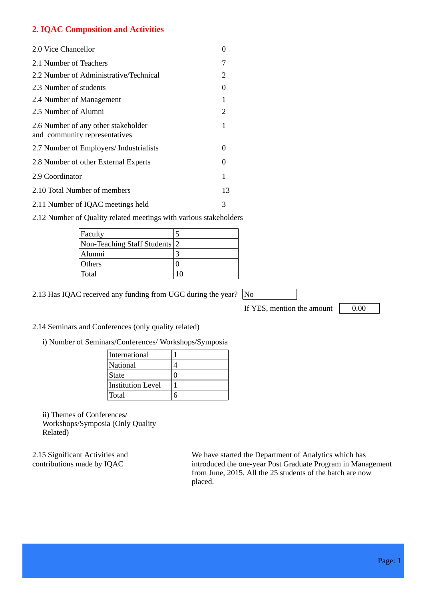### **2. IQAC Composition and Activities**

| 2.0 Vice Chancellor                                                  |    |
|----------------------------------------------------------------------|----|
| 2.1 Number of Teachers                                               | 7  |
| 2.2 Number of Administrative/Technical                               | 2  |
| 2.3 Number of students                                               | 0  |
| 2.4 Number of Management                                             | 1  |
| 2.5 Number of Alumni                                                 | 2  |
| 2.6 Number of any other stakeholder<br>and community representatives | 1  |
| 2.7 Number of Employers/ Industrialists                              | 0  |
| 2.8 Number of other External Experts                                 | 0  |
| 2.9 Coordinator                                                      | 1  |
| 2.10 Total Number of members                                         | 13 |
| 2.11 Number of IQAC meetings held                                    | 3  |

2.12 Number of Quality related meetings with various stakeholders

| Faculty                       |  |
|-------------------------------|--|
| Non-Teaching Staff Students 2 |  |
| Alumni                        |  |
| <b>Others</b>                 |  |
| Total                         |  |

2.13 Has IQAC received any funding from UGC during the year? No

If YES, mention the amount  $\boxed{0.00}$ 

#### 2.14 Seminars and Conferences (only quality related)

i) Number of Seminars/Conferences/ Workshops/Symposia

| International            |  |
|--------------------------|--|
| National                 |  |
| <b>State</b>             |  |
| <b>Institution Level</b> |  |
| Total                    |  |

ii) Themes of Conferences/ Workshops/Symposia (Only Quality Related)

2.15 Significant Activities and contributions made by IQAC

We have started the Department of Analytics which has introduced the one-year Post Graduate Program in Management from June, 2015. All the 25 students of the batch are now placed.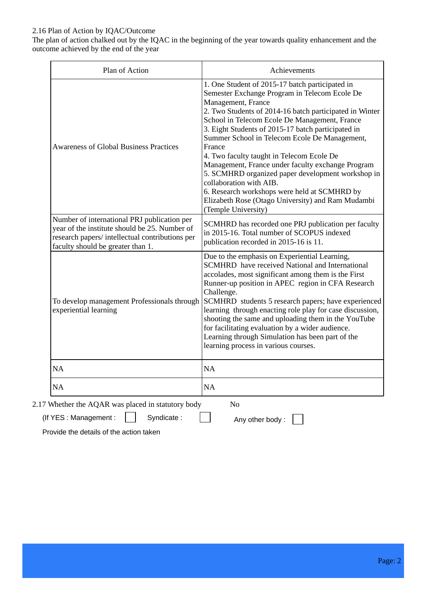#### 2.16 Plan of Action by IQAC/Outcome

The plan of action chalked out by the IQAC in the beginning of the year towards quality enhancement and the outcome achieved by the end of the year

| Plan of Action                                                                                                                                                                       | Achievements                                                                                                                                                                                                                                                                                                                                                                                                                                                                                                                                                                                                                                                      |
|--------------------------------------------------------------------------------------------------------------------------------------------------------------------------------------|-------------------------------------------------------------------------------------------------------------------------------------------------------------------------------------------------------------------------------------------------------------------------------------------------------------------------------------------------------------------------------------------------------------------------------------------------------------------------------------------------------------------------------------------------------------------------------------------------------------------------------------------------------------------|
| <b>Awareness of Global Business Practices</b>                                                                                                                                        | 1. One Student of 2015-17 batch participated in<br>Semester Exchange Program in Telecom Ecole De<br>Management, France<br>2. Two Students of 2014-16 batch participated in Winter<br>School in Telecom Ecole De Management, France<br>3. Eight Students of 2015-17 batch participated in<br>Summer School in Telecom Ecole De Management,<br>France<br>4. Two faculty taught in Telecom Ecole De<br>Management, France under faculty exchange Program<br>5. SCMHRD organized paper development workshop in<br>collaboration with AIB.<br>6. Research workshops were held at SCMHRD by<br>Elizabeth Rose (Otago University) and Ram Mudambi<br>(Temple University) |
| Number of international PRJ publication per<br>year of the institute should be 25. Number of<br>research papers/ intellectual contributions per<br>faculty should be greater than 1. | SCMHRD has recorded one PRJ publication per faculty<br>in 2015-16. Total number of SCOPUS indexed<br>publication recorded in 2015-16 is 11.                                                                                                                                                                                                                                                                                                                                                                                                                                                                                                                       |
| To develop management Professionals through<br>experiential learning                                                                                                                 | Due to the emphasis on Experiential Learning,<br><b>SCMHRD</b> have received National and International<br>accolades, most significant among them is the First<br>Runner-up position in APEC region in CFA Research<br>Challenge.<br>SCMHRD students 5 research papers; have experienced<br>learning through enacting role play for case discussion,<br>shooting the same and uploading them in the YouTube<br>for facilitating evaluation by a wider audience.<br>Learning through Simulation has been part of the<br>learning process in various courses.                                                                                                       |
| NA                                                                                                                                                                                   | NA                                                                                                                                                                                                                                                                                                                                                                                                                                                                                                                                                                                                                                                                |
|                                                                                                                                                                                      | <b>NA</b>                                                                                                                                                                                                                                                                                                                                                                                                                                                                                                                                                                                                                                                         |

Provide the details of the action taken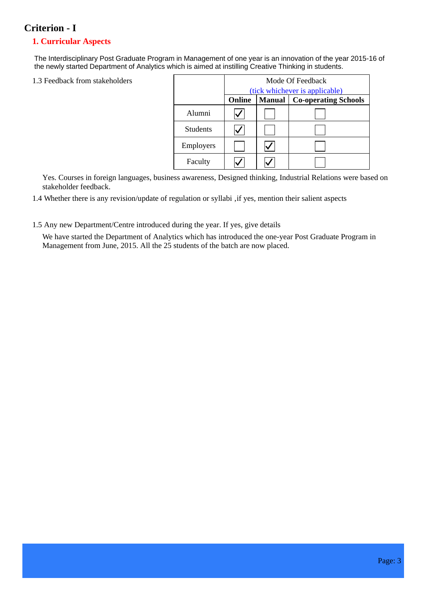### **Criterion - I**

#### **1. Curricular Aspects**

The Interdisciplinary Post Graduate Program in Management of one year is an innovation of the year 2015-16 of the newly started Department of Analytics which is aimed at instilling Creative Thinking in students.

1.3 Feedback from stakeholders

|                 | Mode Of Feedback               |               |                             |  |  |  |
|-----------------|--------------------------------|---------------|-----------------------------|--|--|--|
|                 | (tick whichever is applicable) |               |                             |  |  |  |
|                 | <b>Online</b>                  | <b>Manual</b> | <b>Co-operating Schools</b> |  |  |  |
| Alumni          |                                |               |                             |  |  |  |
| <b>Students</b> |                                |               |                             |  |  |  |
| Employers       |                                |               |                             |  |  |  |
| Faculty         |                                |               |                             |  |  |  |

Yes. Courses in foreign languages, business awareness, Designed thinking, Industrial Relations were based on stakeholder feedback.

1.4 Whether there is any revision/update of regulation or syllabi , if yes, mention their salient aspects

#### 1.5 Any new Department/Centre introduced during the year. If yes, give details

We have started the Department of Analytics which has introduced the one-year Post Graduate Program in Management from June, 2015. All the 25 students of the batch are now placed.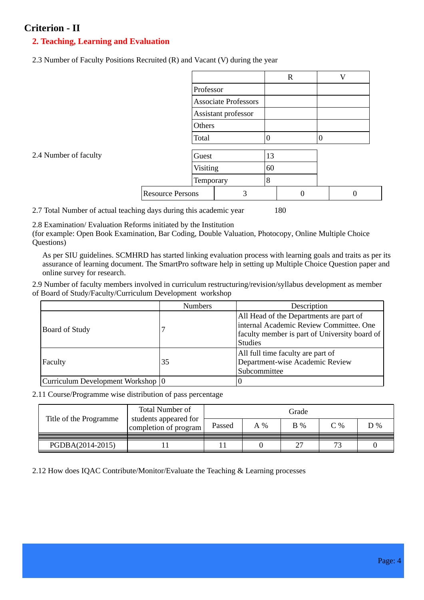### **Criterion - II**

### **2. Teaching, Learning and Evaluation**

2.3 Number of Faculty Positions Recruited (R) and Vacant (V) during the year

|                       |                             |                     |    | $\mathbf R$ |                | V |
|-----------------------|-----------------------------|---------------------|----|-------------|----------------|---|
|                       |                             | Professor           |    |             |                |   |
|                       | <b>Associate Professors</b> |                     |    |             |                |   |
|                       |                             | Assistant professor |    |             |                |   |
|                       | Others                      |                     |    |             |                |   |
|                       | Total                       |                     | 0  |             | $\overline{0}$ |   |
| 2.4 Number of faculty | Guest                       |                     | 13 |             |                |   |
|                       | Visiting                    |                     | 60 |             |                |   |
|                       | Temporary                   |                     | 8  |             |                |   |
|                       | <b>Resource Persons</b>     | 3                   |    | $\Omega$    |                | 0 |

2.7 Total Number of actual teaching days during this academic year 180

2.8 Examination/ Evaluation Reforms initiated by the Institution

(for example: Open Book Examination, Bar Coding, Double Valuation, Photocopy, Online Multiple Choice Questions)

As per SIU guidelines. SCMHRD has started linking evaluation process with learning goals and traits as per its assurance of learning document. The SmartPro software help in setting up Multiple Choice Question paper and online survey for research.

2.9 Number of faculty members involved in curriculum restructuring/revision/syllabus development as member of Board of Study/Faculty/Curriculum Development workshop

|                                     | <b>Numbers</b> | Description                                                                                                                                           |
|-------------------------------------|----------------|-------------------------------------------------------------------------------------------------------------------------------------------------------|
| Board of Study                      |                | All Head of the Departments are part of<br>internal Academic Review Committee. One<br>faculty member is part of University board of<br><b>Studies</b> |
| Faculty                             | 35             | All full time faculty are part of<br>Department-wise Academic Review<br>Subcommittee                                                                  |
| Curriculum Development Workshop   0 |                |                                                                                                                                                       |

2.11 Course/Programme wise distribution of pass percentage

|                        | <b>Total Number of</b>                         | Grade  |       |                |                          |    |
|------------------------|------------------------------------------------|--------|-------|----------------|--------------------------|----|
| Title of the Programme | students appeared for<br>completion of program | Passed | $A\%$ | $\mathbf{B}$ % | C%                       | D% |
| PGDBA(2014-2015)       |                                                |        |       |                | $\overline{\phantom{a}}$ |    |

2.12 How does IQAC Contribute/Monitor/Evaluate the Teaching & Learning processes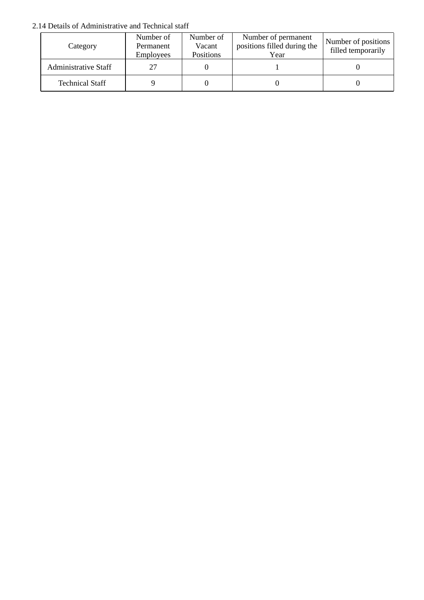#### 2.14 Details of Administrative and Technical staff

| Category               | Number of<br>Permanent<br><b>Employees</b> | Number of<br>Vacant<br>Positions | Number of permanent<br>positions filled during the<br>Year | Number of positions<br>filled temporarily |
|------------------------|--------------------------------------------|----------------------------------|------------------------------------------------------------|-------------------------------------------|
| Administrative Staff   | 27                                         |                                  |                                                            |                                           |
| <b>Technical Staff</b> |                                            |                                  |                                                            |                                           |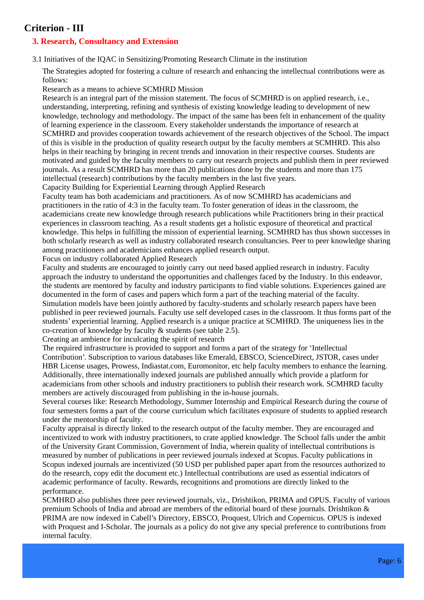### **Criterion - III**

### **3. Research, Consultancy and Extension**

3.1 Initiatives of the IQAC in Sensitizing/Promoting Research Climate in the institution

The Strategies adopted for fostering a culture of research and enhancing the intellectual contributions were as follows:

Research as a means to achieve SCMHRD Mission

Research is an integral part of the mission statement. The focus of SCMHRD is on applied research, i.e., understanding, interpreting, refining and synthesis of existing knowledge leading to development of new knowledge, technology and methodology. The impact of the same has been felt in enhancement of the quality of learning experience in the classroom. Every stakeholder understands the importance of research at SCMHRD and provides cooperation towards achievement of the research objectives of the School. The impact of this is visible in the production of quality research output by the faculty members at SCMHRD. This also helps in their teaching by bringing in recent trends and innovation in their respective courses. Students are motivated and guided by the faculty members to carry out research projects and publish them in peer reviewed journals. As a result SCMHRD has more than 20 publications done by the students and more than 175 intellectual (research) contributions by the faculty members in the last five years.

Capacity Building for Experiential Learning through Applied Research

Faculty team has both academicians and practitioners. As of now SCMHRD has academicians and practitioners in the ratio of 4:3 in the faculty team. To foster generation of ideas in the classroom, the academicians create new knowledge through research publications while Practitioners bring in their practical experiences in classroom teaching. As a result students get a holistic exposure of theoretical and practical knowledge. This helps in fulfilling the mission of experiential learning. SCMHRD has thus shown successes in both scholarly research as well as industry collaborated research consultancies. Peer to peer knowledge sharing among practitioners and academicians enhances applied research output.

Focus on industry collaborated Applied Research

Faculty and students are encouraged to jointly carry out need based applied research in industry. Faculty approach the industry to understand the opportunities and challenges faced by the Industry. In this endeavor, the students are mentored by faculty and industry participants to find viable solutions. Experiences gained are documented in the form of cases and papers which form a part of the teaching material of the faculty. Simulation models have been jointly authored by faculty-students and scholarly research papers have been published in peer reviewed journals. Faculty use self developed cases in the classroom. It thus forms part of the students' experiential learning. Applied research is a unique practice at SCMHRD. The uniqueness lies in the co-creation of knowledge by faculty & students (see table 2.5).

Creating an ambience for inculcating the spirit of research

The required infrastructure is provided to support and forms a part of the strategy for 'Intellectual Contribution'. Subscription to various databases like Emerald, EBSCO, ScienceDirect, JSTOR, cases under HBR License usages, Prowess, Indiastat.com, Euromonitor, etc help faculty members to enhance the learning. Additionally, three internationally indexed journals are published annually which provide a platform for academicians from other schools and industry practitioners to publish their research work. SCMHRD faculty members are actively discouraged from publishing in the in-house journals.

Several courses like: Research Methodology, Summer Internship and Empirical Research during the course of four semesters forms a part of the course curriculum which facilitates exposure of students to applied research under the mentorship of faculty.

Faculty appraisal is directly linked to the research output of the faculty member. They are encouraged and incentivized to work with industry practitioners, to crate applied knowledge. The School falls under the ambit of the University Grant Commission, Government of India, wherein quality of intellectual contributions is measured by number of publications in peer reviewed journals indexed at Scopus. Faculty publications in Scopus indexed journals are incentivized (50 USD per published paper apart from the resources authorized to do the research, copy edit the document etc.) Intellectual contributions are used as essential indicators of academic performance of faculty. Rewards, recognitions and promotions are directly linked to the performance.

SCMHRD also publishes three peer reviewed journals, viz., Drishtikon, PRIMA and OPUS. Faculty of various premium Schools of India and abroad are members of the editorial board of these journals. Drishtikon & PRIMA are now indexed in Cabell's Directory, EBSCO, Proquest, Ulrich and Copernicus. OPUS is indexed with Proquest and I-Scholar. The journals as a policy do not give any special preference to contributions from internal faculty.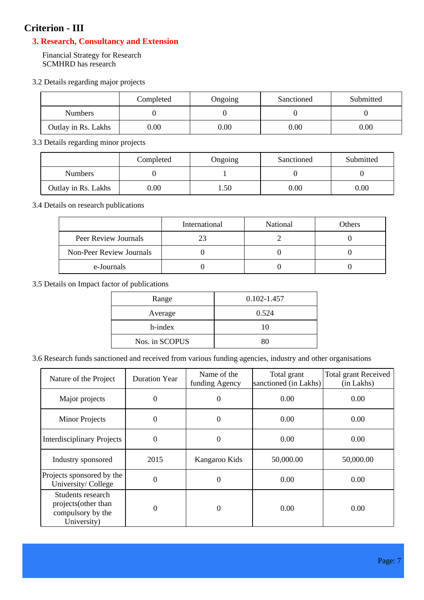### **Criterion - III**

### **3. Research, Consultancy and Extension**

Financial Strategy for Research SCMHRD has research

3.2 Details regarding major projects

|                     | Completed | Ongoing  | Sanctioned | Submitted |
|---------------------|-----------|----------|------------|-----------|
| <b>Numbers</b>      |           |          |            |           |
| Outlay in Rs. Lakhs | 0.00      | $0.00\,$ | $0.00\,$   | $0.00\,$  |

3.3 Details regarding minor projects

|                     | Completed | Ongoing | Sanctioned | Submitted |
|---------------------|-----------|---------|------------|-----------|
| <b>Numbers</b>      |           |         |            |           |
| Outlay in Rs. Lakhs | $0.00\,$  | . .50   | $0.00\,$   | 0.00      |

3.4 Details on research publications

|                          | International | National | Others |
|--------------------------|---------------|----------|--------|
| Peer Review Journals     |               |          |        |
| Non-Peer Review Journals |               |          |        |
| e-Journals               |               |          |        |

3.5 Details on Impact factor of publications

| Range          | 0.102-1.457 |
|----------------|-------------|
| Average        | 0.524       |
| h-index        | 10          |
| Nos. in SCOPUS | 80          |

3.6 Research funds sanctioned and received from various funding agencies, industry and other organisations

| Nature of the Project                                                         | <b>Duration Year</b> | Name of the<br>funding Agency | Total grant<br>sanctioned (in Lakhs) | <b>Total grant Received</b><br>(in Lakhs) |
|-------------------------------------------------------------------------------|----------------------|-------------------------------|--------------------------------------|-------------------------------------------|
| Major projects                                                                | 0                    | 0                             | 0.00                                 | 0.00                                      |
| <b>Minor Projects</b>                                                         | $\boldsymbol{0}$     | $\theta$                      | 0.00                                 | 0.00                                      |
| <b>Interdisciplinary Projects</b>                                             | 0                    | $\theta$                      | 0.00                                 | 0.00                                      |
| Industry sponsored                                                            | 2015                 | Kangaroo Kids                 | 50,000.00                            | 50,000.00                                 |
| Projects sponsored by the<br>University/College                               | 0                    | $\theta$                      | 0.00                                 | 0.00                                      |
| Students research<br>projects (other than<br>compulsory by the<br>University) | 0                    | $\theta$                      | 0.00                                 | 0.00                                      |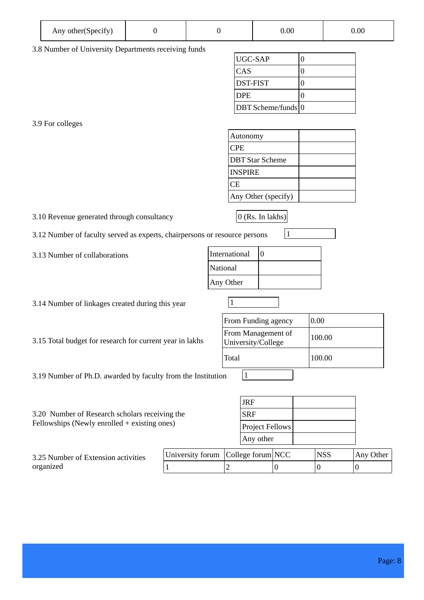| Any other (Specify) |  |  | 0.00 | 0.00 |
|---------------------|--|--|------|------|
|---------------------|--|--|------|------|

3.8 Number of University Departments receiving funds

| UGC-SAP            |  |
|--------------------|--|
| CAS                |  |
| <b>DST-FIST</b>    |  |
| <b>DPE</b>         |  |
| DBT Scheme/funds 0 |  |

3.9 For colleges

| Autonomy                |  |
|-------------------------|--|
| <b>CPE</b>              |  |
| <b>IDBT Star Scheme</b> |  |
| <b>INSPIRE</b>          |  |
| <b>CE</b>               |  |
| Any Other (specify)     |  |

3.10 Revenue generated through consultancy  $\vert$  0 (Rs. In lakhs)

3.12 Number of faculty served as experts, chairpersons or resource persons 1

3.13 Number of collaborations

| International |  |
|---------------|--|
| National      |  |
| Any Other     |  |

3.14 Number of linkages created during this year  $1$ 

3.15 Total budget for research for current year in lakhs

| From Funding agency                      | 0.00   |
|------------------------------------------|--------|
| From Management of<br>University/College | 100.00 |
| Total                                    | 100.00 |
|                                          |        |

3.19 Number of Ph.D. awarded by faculty from the Institution  $1$ 

| <b>JRF</b><br>3.20 Number of Research scholars receiving the |                                    |  |                 |            |  |            |           |
|--------------------------------------------------------------|------------------------------------|--|-----------------|------------|--|------------|-----------|
|                                                              |                                    |  |                 | <b>SRF</b> |  |            |           |
| Fellowships (Newly enrolled $+$ existing ones)               |                                    |  | Project Fellows |            |  |            |           |
|                                                              |                                    |  | Any other       |            |  |            |           |
| 3.25 Number of Extension activities                          | University forum College forum NCC |  |                 |            |  | <b>NSS</b> | Any Other |
| organized                                                    |                                    |  |                 |            |  |            |           |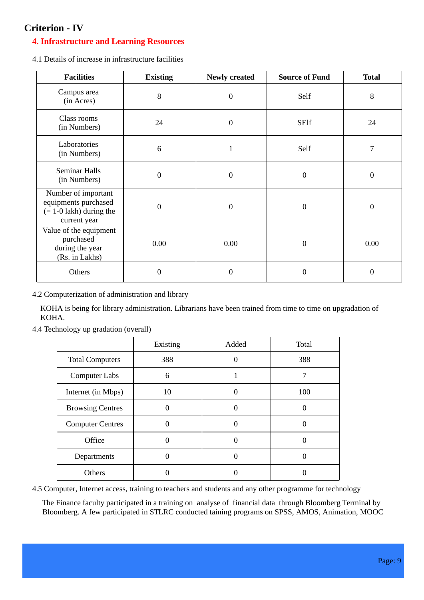### **Criterion - IV**

### **4. Infrastructure and Learning Resources**

4.1 Details of increase in infrastructure facilities

| <b>Facilities</b>                                                                        | <b>Existing</b>  | <b>Newly created</b> | <b>Source of Fund</b> | <b>Total</b>     |
|------------------------------------------------------------------------------------------|------------------|----------------------|-----------------------|------------------|
| Campus area<br>(in Acres)                                                                | 8                | $\mathbf{0}$         | Self                  | 8                |
| Class rooms<br>(in Numbers)                                                              | 24               | $\mathbf{0}$         | <b>SElf</b>           | 24               |
| Laboratories<br>(in Numbers)                                                             | 6                | $\mathbf{1}$         | Self                  | 7                |
| <b>Seminar Halls</b><br>(in Numbers)                                                     | $\overline{0}$   | $\mathbf{0}$         | $\boldsymbol{0}$      | $\boldsymbol{0}$ |
| Number of important<br>equipments purchased<br>$(= 1-0$ lakh) during the<br>current year | $\boldsymbol{0}$ | $\boldsymbol{0}$     | $\boldsymbol{0}$      | $\boldsymbol{0}$ |
| Value of the equipment<br>purchased<br>during the year<br>(Rs. in Lakhs)                 | 0.00             | 0.00                 | $\boldsymbol{0}$      | 0.00             |
| Others                                                                                   | $\overline{0}$   | $\mathbf{0}$         | $\overline{0}$        | $\boldsymbol{0}$ |

4.2 Computerization of administration and library

KOHA is being for library administration. Librarians have been trained from time to time on upgradation of KOHA.

| 4.4 Technology up gradation (overall) |  |  |
|---------------------------------------|--|--|
|---------------------------------------|--|--|

|                         | Existing | Added | Total |
|-------------------------|----------|-------|-------|
| <b>Total Computers</b>  | 388      | 0     | 388   |
| <b>Computer Labs</b>    | 6        |       |       |
| Internet (in Mbps)      | 10       |       | 100   |
| <b>Browsing Centres</b> |          |       |       |
| <b>Computer Centres</b> |          |       |       |
| Office                  |          |       |       |
| Departments             |          |       |       |
| Others                  |          |       |       |

4.5 Computer, Internet access, training to teachers and students and any other programme for technology

The Finance faculty participated in a training on analyse of financial data through Bloomberg Terminal by Bloomberg. A few participated in STLRC conducted taining programs on SPSS, AMOS, Animation, MOOC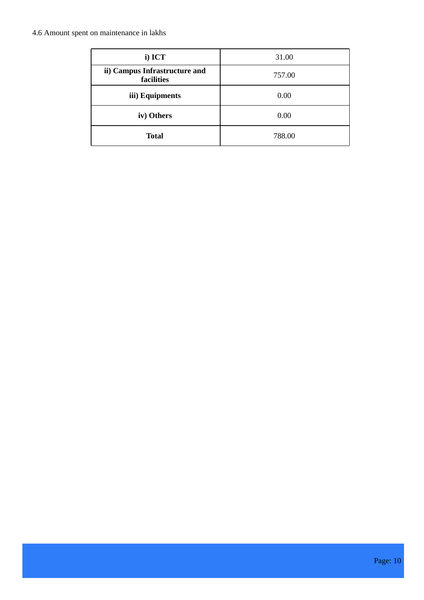### 4.6 Amount spent on maintenance in lakhs

| i) ICT                                      | 31.00  |
|---------------------------------------------|--------|
| ii) Campus Infrastructure and<br>facilities | 757.00 |
| iii) Equipments                             | 0.00   |
| iv) Others                                  | 0.00   |
| <b>Total</b>                                | 788.00 |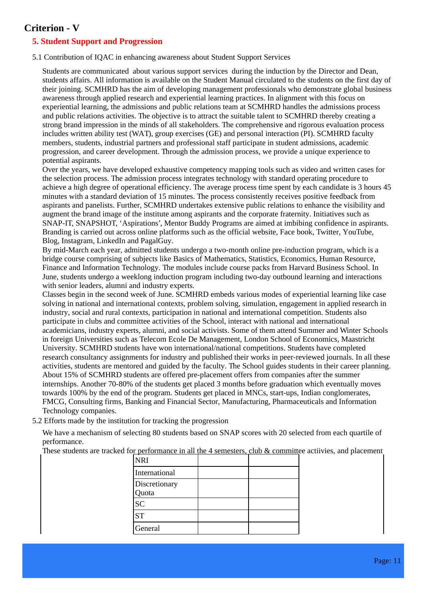### **Criterion - V**

### **5. Student Support and Progression**

5.1 Contribution of IQAC in enhancing awareness about Student Support Services

Students are communicated about various support services during the induction by the Director and Dean, students affairs. All information is available on the Student Manual circulated to the students on the first day of their joining. SCMHRD has the aim of developing management professionals who demonstrate global business awareness through applied research and experiential learning practices. In alignment with this focus on experiential learning, the admissions and public relations team at SCMHRD handles the admissions process and public relations activities. The objective is to attract the suitable talent to SCMHRD thereby creating a strong brand impression in the minds of all stakeholders. The comprehensive and rigorous evaluation process includes written ability test (WAT), group exercises (GE) and personal interaction (PI). SCMHRD faculty members, students, industrial partners and professional staff participate in student admissions, academic progression, and career development. Through the admission process, we provide a unique experience to potential aspirants.

Over the years, we have developed exhaustive competency mapping tools such as video and written cases for the selection process. The admission process integrates technology with standard operating procedure to achieve a high degree of operational efficiency. The average process time spent by each candidate is 3 hours 45 minutes with a standard deviation of 15 minutes. The process consistently receives positive feedback from aspirants and panelists. Further, SCMHRD undertakes extensive public relations to enhance the visibility and augment the brand image of the institute among aspirants and the corporate fraternity. Initiatives such as SNAP-IT, SNAPSHOT, 'Aspirations', Mentor Buddy Programs are aimed at imbibing confidence in aspirants. Branding is carried out across online platforms such as the official website, Face book, Twitter, YouTube, Blog, Instagram, LinkedIn and PagalGuy.

By mid-March each year, admitted students undergo a two-month online pre-induction program, which is a bridge course comprising of subjects like Basics of Mathematics, Statistics, Economics, Human Resource, Finance and Information Technology. The modules include course packs from Harvard Business School. In June, students undergo a weeklong induction program including two-day outbound learning and interactions with senior leaders, alumni and industry experts.

Classes begin in the second week of June. SCMHRD embeds various modes of experiential learning like case solving in national and international contexts, problem solving, simulation, engagement in applied research in industry, social and rural contexts, participation in national and international competition. Students also participate in clubs and committee activities of the School, interact with national and international academicians, industry experts, alumni, and social activists. Some of them attend Summer and Winter Schools in foreign Universities such as Telecom Ecole De Management, London School of Economics, Maastricht University. SCMHRD students have won international/national competitions. Students have completed research consultancy assignments for industry and published their works in peer-reviewed journals. In all these activities, students are mentored and guided by the faculty. The School guides students in their career planning. About 15% of SCMHRD students are offered pre-placement offers from companies after the summer internships. Another 70-80% of the students get placed 3 months before graduation which eventually moves towards 100% by the end of the program. Students get placed in MNCs, start-ups, Indian conglomerates, FMCG, Consulting firms, Banking and Financial Sector, Manufacturing, Pharmaceuticals and Information Technology companies.

5.2 Efforts made by the institution for tracking the progression

We have a mechanism of selecting 80 students based on SNAP scores with 20 selected from each quartile of performance.

These students are tracked for performance in all the 4 semesters, club & committee actiivies, and placement

| <b>NRI</b>    |  |
|---------------|--|
| International |  |
| Discretionary |  |
| Quota         |  |
| <b>SC</b>     |  |
| <b>ST</b>     |  |
| General       |  |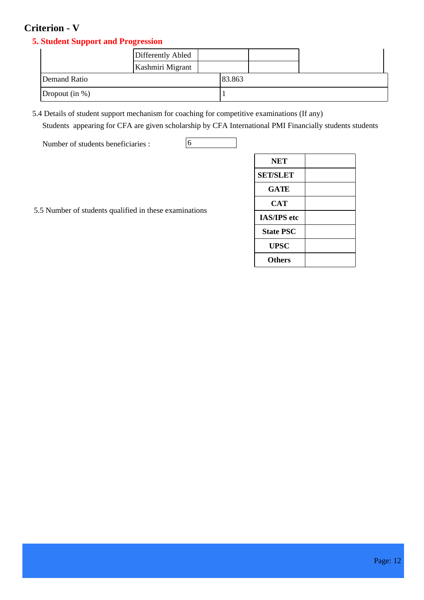### **Criterion - V**

### **5. Student Support and Progression**

|                        | Differently Abled |        |  |
|------------------------|-------------------|--------|--|
|                        | Kashmiri Migrant  |        |  |
| Demand Ratio           |                   | 83.863 |  |
| $\vert$ Dropout (in %) |                   |        |  |

5.4 Details of student support mechanism for coaching for competitive examinations (If any) Students appearing for CFA are given scholarship by CFA International PMI Financially students students

Number of students beneficiaries : 6 international certification Results of 2015-16 is 2015-16 international certification Results of 2015-16 is 2015-16 international certification Results of 2015-16 is 2015-16 internation

qualifying APECH-CSCP. SCMHRD awards INR 5000 to all students qualifying in such international exams.

|  |  |  |  | 5.5 Number of students qualified in these examinations |
|--|--|--|--|--------------------------------------------------------|
|--|--|--|--|--------------------------------------------------------|

|                                                    | <b>NET</b>         |  |
|----------------------------------------------------|--------------------|--|
|                                                    | <b>SET/SLET</b>    |  |
|                                                    | <b>GATE</b>        |  |
|                                                    | <b>CAT</b>         |  |
| Number of students qualified in these examinations | <b>IAS/IPS</b> etc |  |
|                                                    | <b>State PSC</b>   |  |
|                                                    | <b>UPSC</b>        |  |
|                                                    | <b>Others</b>      |  |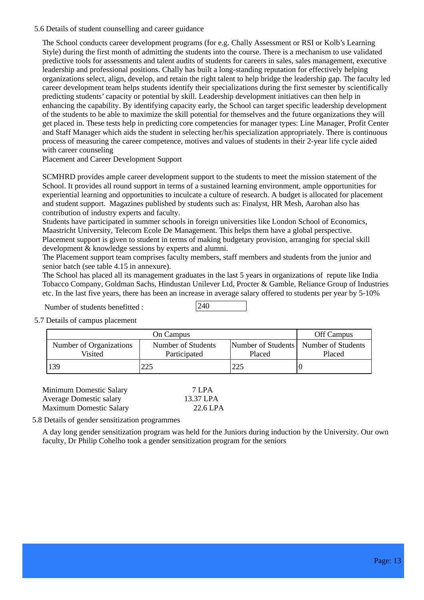5.6 Details of student counselling and career guidance

The School conducts career development programs (for e.g. Chally Assessment or RSI or Kolb's Learning Style) during the first month of admitting the students into the course. There is a mechanism to use validated predictive tools for assessments and talent audits of students for careers in sales, sales management, executive leadership and professional positions. Chally has built a long-standing reputation for effectively helping organizations select, align, develop, and retain the right talent to help bridge the leadership gap. The faculty led career development team helps students identify their specializations during the first semester by scientifically predicting students' capacity or potential by skill. Leadership development initiatives can then help in enhancing the capability. By identifying capacity early, the School can target specific leadership development of the students to be able to maximize the skill potential for themselves and the future organizations they will get placed in. These tests help in predicting core competencies for manager types: Line Manager, Profit Center and Staff Manager which aids the student in selecting her/his specialization appropriately. There is continuous process of measuring the career competence, motives and values of students in their 2-year life cycle aided with career counseling

Placement and Career Development Support

SCMHRD provides ample career development support to the students to meet the mission statement of the School. It provides all round support in terms of a sustained learning environment, ample opportunities for experiential learning and opportunities to inculcate a culture of research. A budget is allocated for placement and student support. Magazines published by students such as: Finalyst, HR Mesh, Aarohan also has contribution of industry experts and faculty.

Students have participated in summer schools in foreign universities like London School of Economics, Maastricht University, Telecom Ecole De Management. This helps them have a global perspective. Placement support is given to student in terms of making budgetary provision, arranging for special skill development & knowledge sessions by experts and alumni.

The Placement support team comprises faculty members, staff members and students from the junior and senior batch (see table 4.15 in annexure).

The School has placed all its management graduates in the last 5 years in organizations of repute like India Tobacco Company, Goldman Sachs, Hindustan Unilever Ltd, Procter & Gamble, Reliance Group of Industries etc. In the last five years, there has been an increase in average salary offered to students per year by 5-10%

Number of students benefitted :

5.7 Details of campus placement

|                                    | Off Campus                         |        |                                                   |
|------------------------------------|------------------------------------|--------|---------------------------------------------------|
| Number of Organizations<br>Visited | Number of Students<br>Participated | Placed | Number of Students   Number of Students<br>Placed |
| 139                                | $\Omega$                           | 225    |                                                   |

| Minimum Domestic Salary        | 7 LPA     |
|--------------------------------|-----------|
| <b>Average Domestic salary</b> | 13.37 LPA |
| <b>Maximum Domestic Salary</b> | 22.6 LPA  |

5.8 Details of gender sensitization programmes

A day long gender sensitization program was held for the Juniors during induction by the University. Our own faculty, Dr Philip Cohelho took a gender sensitization program for the seniors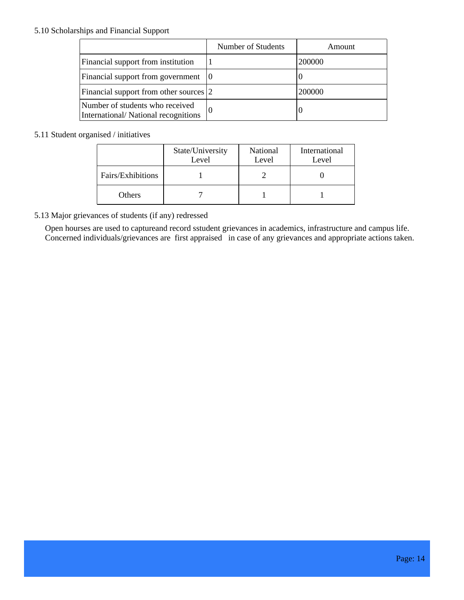#### 5.10 Scholarships and Financial Support

|                                                                        | Number of Students | Amount |
|------------------------------------------------------------------------|--------------------|--------|
| Financial support from institution                                     |                    | 200000 |
| Financial support from government                                      | 10                 |        |
| Financial support from other sources 2                                 |                    | 200000 |
| Number of students who received<br>International/National recognitions |                    |        |

#### 5.11 Student organised / initiatives

|                   | State/University<br>Level | National<br>Level | International<br>Level |
|-------------------|---------------------------|-------------------|------------------------|
| Fairs/Exhibitions |                           |                   |                        |
| Others            |                           |                   |                        |

5.13 Major grievances of students (if any) redressed

Open hourses are used to captureand record sstudent grievances in academics, infrastructure and campus life. Concerned individuals/grievances are first appraised in case of any grievances and appropriate actions taken.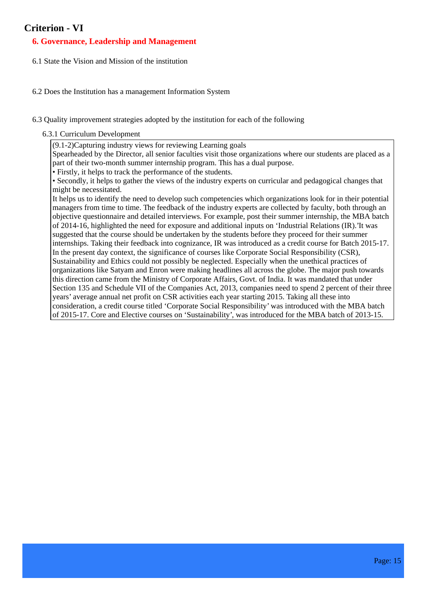### **Criterion - VI**

### **6. Governance, Leadership and Management**

- 6.1 State the Vision and Mission of the institution
- 6.2 Does the Institution has a management Information System
- 6.3 Quality improvement strategies adopted by the institution for each of the following

6.3.1 Curriculum Development

(9.1-2)Capturing industry views for reviewing Learning goals

Spearheaded by the Director, all senior faculties visit those organizations where our students are placed as a part of their two-month summer internship program. This has a dual purpose.

• Firstly, it helps to track the performance of the students.

• Secondly, it helps to gather the views of the industry experts on curricular and pedagogical changes that might be necessitated.

It helps us to identify the need to develop such competencies which organizations look for in their potential managers from time to time. The feedback of the industry experts are collected by faculty, both through an objective questionnaire and detailed interviews. For example, post their summer internship, the MBA batch of 2014-16, highlighted the need for exposure and additional inputs on 'Industrial Relations (IR).'It was suggested that the course should be undertaken by the students before they proceed for their summer internships. Taking their feedback into cognizance, IR was introduced as a credit course for Batch 2015-17. In the present day context, the significance of courses like Corporate Social Responsibility (CSR), Sustainability and Ethics could not possibly be neglected. Especially when the unethical practices of organizations like Satyam and Enron were making headlines all across the globe. The major push towards this direction came from the Ministry of Corporate Affairs, Govt. of India. It was mandated that under Section 135 and Schedule VII of the Companies Act, 2013, companies need to spend 2 percent of their three years' average annual net profit on CSR activities each year starting 2015. Taking all these into consideration, a credit course titled 'Corporate Social Responsibility' was introduced with the MBA batch of 2015-17. Core and Elective courses on 'Sustainability', was introduced for the MBA batch of 2013-15.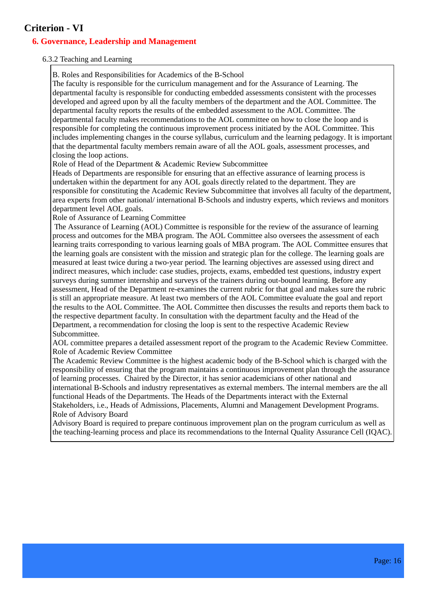### **Criterion - VI**

### **6. Governance, Leadership and Management**

#### 6.3.2 Teaching and Learning

B. Roles and Responsibilities for Academics of the B-School

The faculty is responsible for the curriculum management and for the Assurance of Learning. The departmental faculty is responsible for conducting embedded assessments consistent with the processes developed and agreed upon by all the faculty members of the department and the AOL Committee. The departmental faculty reports the results of the embedded assessment to the AOL Committee. The departmental faculty makes recommendations to the AOL committee on how to close the loop and is responsible for completing the continuous improvement process initiated by the AOL Committee. This includes implementing changes in the course syllabus, curriculum and the learning pedagogy. It is important that the departmental faculty members remain aware of all the AOL goals, assessment processes, and closing the loop actions.

Role of Head of the Department & Academic Review Subcommittee

Heads of Departments are responsible for ensuring that an effective assurance of learning process is undertaken within the department for any AOL goals directly related to the department. They are responsible for constituting the Academic Review Subcommittee that involves all faculty of the department, area experts from other national/ international B-Schools and industry experts, which reviews and monitors department level AOL goals.

Role of Assurance of Learning Committee

 The Assurance of Learning (AOL) Committee is responsible for the review of the assurance of learning process and outcomes for the MBA program. The AOL Committee also oversees the assessment of each learning traits corresponding to various learning goals of MBA program. The AOL Committee ensures that the learning goals are consistent with the mission and strategic plan for the college. The learning goals are measured at least twice during a two-year period. The learning objectives are assessed using direct and indirect measures, which include: case studies, projects, exams, embedded test questions, industry expert surveys during summer internship and surveys of the trainers during out-bound learning. Before any assessment, Head of the Department re-examines the current rubric for that goal and makes sure the rubric is still an appropriate measure. At least two members of the AOL Committee evaluate the goal and report the results to the AOL Committee. The AOL Committee then discusses the results and reports them back to the respective department faculty. In consultation with the department faculty and the Head of the Department, a recommendation for closing the loop is sent to the respective Academic Review Subcommittee.

AOL committee prepares a detailed assessment report of the program to the Academic Review Committee. Role of Academic Review Committee

The Academic Review Committee is the highest academic body of the B-School which is charged with the responsibility of ensuring that the program maintains a continuous improvement plan through the assurance of learning processes. Chaired by the Director, it has senior academicians of other national and international B-Schools and industry representatives as external members. The internal members are the all functional Heads of the Departments. The Heads of the Departments interact with the External Stakeholders, i.e., Heads of Admissions, Placements, Alumni and Management Development Programs. Role of Advisory Board

Advisory Board is required to prepare continuous improvement plan on the program curriculum as well as the teaching-learning process and place its recommendations to the Internal Quality Assurance Cell (IQAC).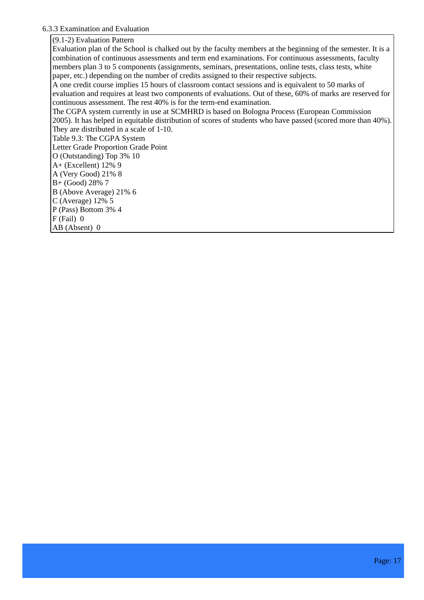#### 6.3.3 Examination and Evaluation

(9.1-2) Evaluation Pattern

Evaluation plan of the School is chalked out by the faculty members at the beginning of the semester. It is a combination of continuous assessments and term end examinations. For continuous assessments, faculty members plan 3 to 5 components (assignments, seminars, presentations, online tests, class tests, white paper, etc.) depending on the number of credits assigned to their respective subjects. A one credit course implies 15 hours of classroom contact sessions and is equivalent to 50 marks of evaluation and requires at least two components of evaluations. Out of these, 60% of marks are reserved for continuous assessment. The rest 40% is for the term-end examination. The CGPA system currently in use at SCMHRD is based on Bologna Process (European Commission 2005). It has helped in equitable distribution of scores of students who have passed (scored more than 40%). They are distributed in a scale of 1-10. Table 9.3: The CGPA System Letter Grade Proportion Grade Point O (Outstanding) Top 3% 10 A+ (Excellent) 12% 9 A (Very Good) 21% 8 B+ (Good) 28% 7 B (Above Average) 21% 6 C (Average) 12% 5 P (Pass) Bottom 3% 4 F (Fail) 0 AB (Absent) 0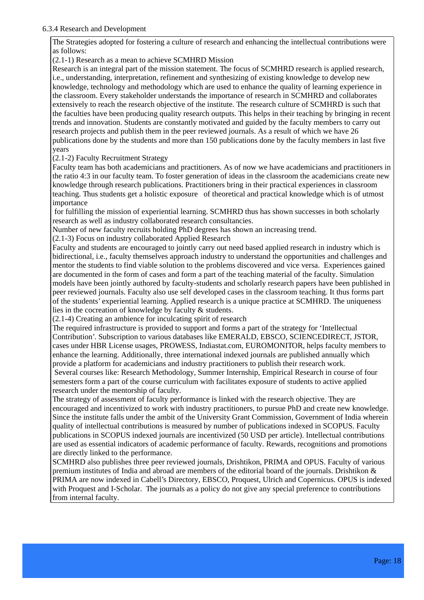#### 6.3.4 Research and Development

The Strategies adopted for fostering a culture of research and enhancing the intellectual contributions were as follows:

(2.1-1) Research as a mean to achieve SCMHRD Mission

Research is an integral part of the mission statement. The focus of SCMHRD research is applied research, i.e., understanding, interpretation, refinement and synthesizing of existing knowledge to develop new knowledge, technology and methodology which are used to enhance the quality of learning experience in the classroom. Every stakeholder understands the importance of research in SCMHRD and collaborates extensively to reach the research objective of the institute. The research culture of SCMHRD is such that the faculties have been producing quality research outputs. This helps in their teaching by bringing in recent trends and innovation. Students are constantly motivated and guided by the faculty members to carry out research projects and publish them in the peer reviewed journals. As a result of which we have 26 publications done by the students and more than 150 publications done by the faculty members in last five years

#### (2.1-2) Faculty Recruitment Strategy

Faculty team has both academicians and practitioners. As of now we have academicians and practitioners in the ratio 4:3 in our faculty team. To foster generation of ideas in the classroom the academicians create new knowledge through research publications. Practitioners bring in their practical experiences in classroom teaching. Thus students get a holistic exposure of theoretical and practical knowledge which is of utmost importance

 for fulfilling the mission of experiential learning. SCMHRD thus has shown successes in both scholarly research as well as industry collaborated research consultancies.

Number of new faculty recruits holding PhD degrees has shown an increasing trend.

(2.1-3) Focus on industry collaborated Applied Research

Faculty and students are encouraged to jointly carry out need based applied research in industry which is bidirectional, i.e., faculty themselves approach industry to understand the opportunities and challenges and mentor the students to find viable solution to the problems discovered and vice versa. Experiences gained are documented in the form of cases and form a part of the teaching material of the faculty. Simulation models have been jointly authored by faculty-students and scholarly research papers have been published in peer reviewed journals. Faculty also use self developed cases in the classroom teaching. It thus forms part of the students' experiential learning. Applied research is a unique practice at SCMHRD. The uniqueness lies in the cocreation of knowledge by faculty & students.

(2.1-4) Creating an ambience for inculcating spirit of research

The required infrastructure is provided to support and forms a part of the strategy for 'Intellectual Contribution'. Subscription to various databases like EMERALD, EBSCO, SCIENCEDIRECT, JSTOR, cases under HBR License usages, PROWESS, Indiastat.com, EUROMONITOR, helps faculty members to enhance the learning. Additionally, three international indexed journals are published annually which provide a platform for academicians and industry practitioners to publish their research work.

 Several courses like: Research Methodology, Summer Internship, Empirical Research in course of four semesters form a part of the course curriculum with facilitates exposure of students to active applied research under the mentorship of faculty.

The strategy of assessment of faculty performance is linked with the research objective. They are encouraged and incentivized to work with industry practitioners, to pursue PhD and create new knowledge. Since the institute falls under the ambit of the University Grant Commission, Government of India wherein quality of intellectual contributions is measured by number of publications indexed in SCOPUS. Faculty publications in SCOPUS indexed journals are incentivized (50 USD per article). Intellectual contributions are used as essential indicators of academic performance of faculty. Rewards, recognitions and promotions are directly linked to the performance.

SCMHRD also publishes three peer reviewed journals, Drishtikon, PRIMA and OPUS. Faculty of various premium institutes of India and abroad are members of the editorial board of the journals. Drishtikon & PRIMA are now indexed in Cabell's Directory, EBSCO, Proquest, Ulrich and Copernicus. OPUS is indexed with Proquest and I-Scholar. The journals as a policy do not give any special preference to contributions from internal faculty.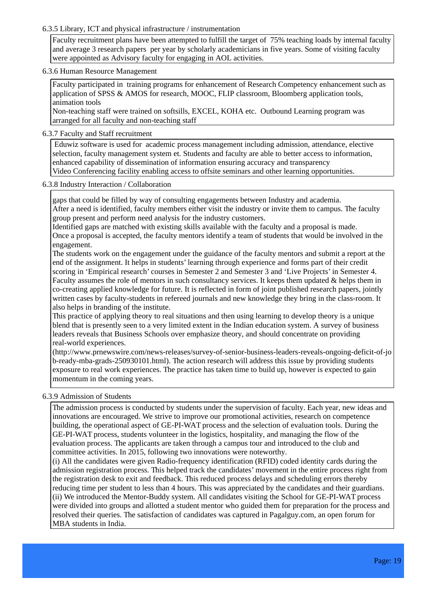#### 6.3.5 Library, ICT and physical infrastructure / instrumentation

Faculty recruitment plans have been attempted to fulfill the target of 75% teaching loads by internal faculty and average 3 research papers per year by scholarly academicians in five years. Some of visiting faculty were appointed as Advisory faculty for engaging in AOL activities.

#### 6.3.6 Human Resource Management

Faculty participated in training programs for enhancement of Research Competency enhancement such as application of SPSS & AMOS for research, MOOC, FLIP classroom, Bloomberg application tools, animation tools

Non-teaching staff were trained on softsills, EXCEL, KOHA etc. Outbound Learning program was arranged for all faculty and non-teaching staff

#### 6.3.7 Faculty and Staff recruitment

 Eduwiz software is used for academic process management including admission, attendance, elective selection, faculty management system et. Students and faculty are able to better access to information, enhanced capability of dissemination of information ensuring accuracy and transparency Video Conferencing facility enabling access to offsite seminars and other learning opportunities.

#### 6.3.8 Industry Interaction / Collaboration

gaps that could be filled by way of consulting engagements between Industry and academia. After a need is identified, faculty members either visit the industry or invite them to campus. The faculty group present and perform need analysis for the industry customers.

Identified gaps are matched with existing skills available with the faculty and a proposal is made. Once a proposal is accepted, the faculty mentors identify a team of students that would be involved in the engagement.

The students work on the engagement under the guidance of the faculty mentors and submit a report at the end of the assignment. It helps in students' learning through experience and forms part of their credit scoring in 'Empirical research' courses in Semester 2 and Semester 3 and 'Live Projects' in Semester 4. Faculty assumes the role of mentors in such consultancy services. It keeps them updated & helps them in co-creating applied knowledge for future. It is reflected in form of joint published research papers, jointly written cases by faculty-students in refereed journals and new knowledge they bring in the class-room. It also helps in branding of the institute.

This practice of applying theory to real situations and then using learning to develop theory is a unique blend that is presently seen to a very limited extent in the Indian education system. A survey of business leaders reveals that Business Schools over emphasize theory, and should concentrate on providing real-world experiences.

(http://www.prnewswire.com/news-releases/survey-of-senior-business-leaders-reveals-ongoing-deficit-of-jo b-ready-mba-grads-250930101.html). The action research will address this issue by providing students exposure to real work experiences. The practice has taken time to build up, however is expected to gain momentum in the coming years.

#### 6.3.9 Admission of Students

The admission process is conducted by students under the supervision of faculty. Each year, new ideas and innovations are encouraged. We strive to improve our promotional activities, research on competence building, the operational aspect of GE-PI-WAT process and the selection of evaluation tools. During the GE-PI-WAT process, students volunteer in the logistics, hospitality, and managing the flow of the evaluation process. The applicants are taken through a campus tour and introduced to the club and committee activities. In 2015, following two innovations were noteworthy.

(i) All the candidates were given Radio-frequency identification (RFID) coded identity cards during the admission registration process. This helped track the candidates' movement in the entire process right from the registration desk to exit and feedback. This reduced process delays and scheduling errors thereby reducing time per student to less than 4 hours. This was appreciated by the candidates and their guardians. (ii) We introduced the Mentor-Buddy system. All candidates visiting the School for GE-PI-WAT process were divided into groups and allotted a student mentor who guided them for preparation for the process and resolved their queries. The satisfaction of candidates was captured in Pagalguy.com, an open forum for MBA students in India.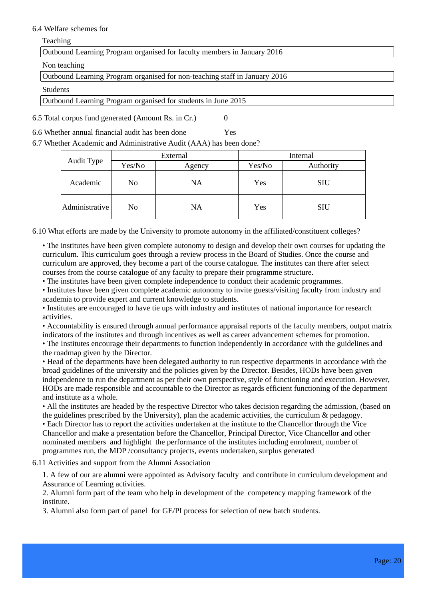#### 6.4 Welfare schemes for

Teaching

Outbound Learning Program organised for faculty members in January 2016

Non teaching

Outbound Learning Program organised for non-teaching staff in January 2016

Students

Outbound Learning Program organised for students in June 2015

6.5 Total corpus fund generated (Amount Rs. in Cr.) 0

6.6 Whether annual financial audit has been done Yes

6.7 Whether Academic and Administrative Audit (AAA) has been done?

|  | Audit Type     | External |           | Internal |            |
|--|----------------|----------|-----------|----------|------------|
|  |                | Yes/No   | Agency    | Yes/No   | Authority  |
|  | Academic       | No       | <b>NA</b> | Yes      | <b>SIU</b> |
|  | Administrative | No       | <b>NA</b> | Yes      | <b>SIU</b> |

6.10 What efforts are made by the University to promote autonomy in the affiliated/constituent colleges?

• The institutes have been given complete autonomy to design and develop their own courses for updating the curriculum. This curriculum goes through a review process in the Board of Studies. Once the course and curriculum are approved, they become a part of the course catalogue. The institutes can there after select courses from the course catalogue of any faculty to prepare their programme structure.

• The institutes have been given complete independence to conduct their academic programmes.

• Institutes have been given complete academic autonomy to invite guests/visiting faculty from industry and academia to provide expert and current knowledge to students.

• Institutes are encouraged to have tie ups with industry and institutes of national importance for research activities.

• Accountability is ensured through annual performance appraisal reports of the faculty members, output matrix indicators of the institutes and through incentives as well as career advancement schemes for promotion.

• The Institutes encourage their departments to function independently in accordance with the guidelines and the roadmap given by the Director.

• Head of the departments have been delegated authority to run respective departments in accordance with the broad guidelines of the university and the policies given by the Director. Besides, HODs have been given independence to run the department as per their own perspective, style of functioning and execution. However, HODs are made responsible and accountable to the Director as regards efficient functioning of the department and institute as a whole.

• All the institutes are headed by the respective Director who takes decision regarding the admission, (based on the guidelines prescribed by the University), plan the academic activities, the curriculum  $\&$  pedagogy. • Each Director has to report the activities undertaken at the institute to the Chancellor through the Vice Chancellor and make a presentation before the Chancellor, Principal Director, Vice Chancellor and other nominated members and highlight the performance of the institutes including enrolment, number of programmes run, the MDP /consultancy projects, events undertaken, surplus generated

6.11 Activities and support from the Alumni Association

1. A few of our are alumni were appointed as Advisory faculty and contribute in curriculum development and Assurance of Learning activities.

2. Alumni form part of the team who help in development of the competency mapping framework of the institute.

3. Alumni also form part of panel for GE/PI process for selection of new batch students.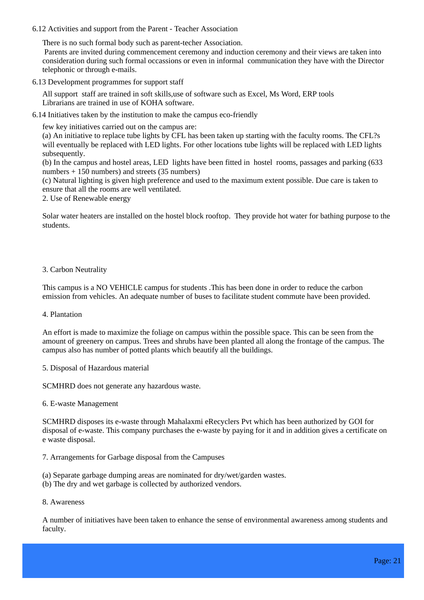#### 6.12 Activities and support from the Parent - Teacher Association

There is no such formal body such as parent-techer Association.

 Parents are invited during commencement ceremony and induction ceremony and their views are taken into consideration during such formal occassions or even in informal communication they have with the Director telephonic or through e-mails.

6.13 Development programmes for support staff

All support staff are trained in soft skills,use of software such as Excel, Ms Word, ERP tools Librarians are trained in use of KOHA software.

6.14 Initiatives taken by the institution to make the campus eco-friendly

few key initiatives carried out on the campus are:

(a) An initiative to replace tube lights by CFL has been taken up starting with the faculty rooms. The CFL?s will eventually be replaced with LED lights. For other locations tube lights will be replaced with LED lights subsequently.

(b) In the campus and hostel areas, LED lights have been fitted in hostel rooms, passages and parking (633 numbers + 150 numbers) and streets (35 numbers)

(c) Natural lighting is given high preference and used to the maximum extent possible. Due care is taken to ensure that all the rooms are well ventilated.

2. Use of Renewable energy

Solar water heaters are installed on the hostel block rooftop. They provide hot water for bathing purpose to the students.

#### 3. Carbon Neutrality

This campus is a NO VEHICLE campus for students .This has been done in order to reduce the carbon emission from vehicles. An adequate number of buses to facilitate student commute have been provided.

#### 4. Plantation

An effort is made to maximize the foliage on campus within the possible space. This can be seen from the amount of greenery on campus. Trees and shrubs have been planted all along the frontage of the campus. The campus also has number of potted plants which beautify all the buildings.

5. Disposal of Hazardous material

SCMHRD does not generate any hazardous waste.

6. E-waste Management

SCMHRD disposes its e-waste through Mahalaxmi eRecyclers Pvt which has been authorized by GOI for disposal of e-waste. This company purchases the e-waste by paying for it and in addition gives a certificate on e waste disposal.

- 7. Arrangements for Garbage disposal from the Campuses
- (a) Separate garbage dumping areas are nominated for dry/wet/garden wastes.
- (b) The dry and wet garbage is collected by authorized vendors.
- 8. Awareness

A number of initiatives have been taken to enhance the sense of environmental awareness among students and faculty.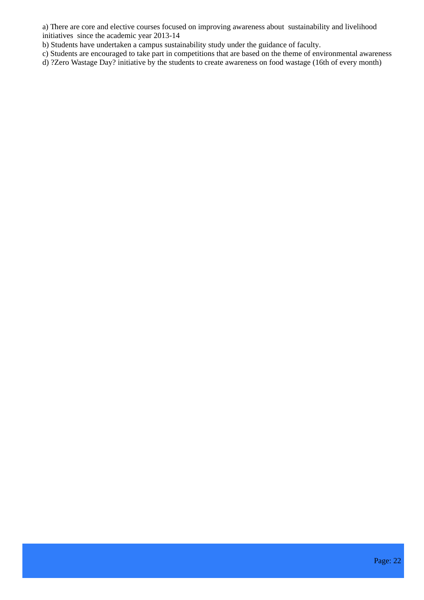a) There are core and elective courses focused on improving awareness about sustainability and livelihood initiatives since the academic year 2013-14

b) Students have undertaken a campus sustainability study under the guidance of faculty.

c) Students are encouraged to take part in competitions that are based on the theme of environmental awareness

d) ?Zero Wastage Day? initiative by the students to create awareness on food wastage (16th of every month)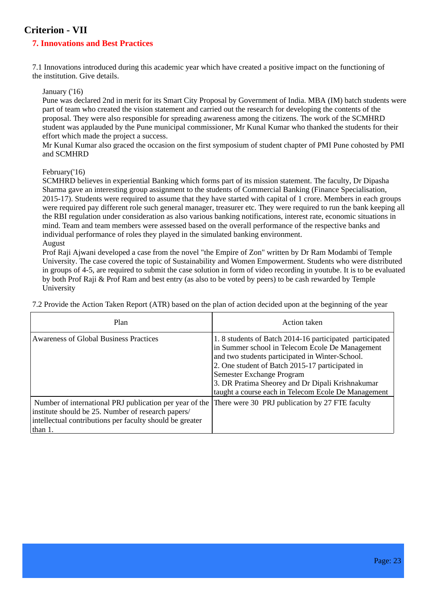### **Criterion - VII**

### **7. Innovations and Best Practices**

7.1 Innovations introduced during this academic year which have created a positive impact on the functioning of the institution. Give details.

January ('16)

Pune was declared 2nd in merit for its Smart City Proposal by Government of India. MBA (IM) batch students were part of team who created the vision statement and carried out the research for developing the contents of the proposal. They were also responsible for spreading awareness among the citizens. The work of the SCMHRD student was applauded by the Pune municipal commissioner, Mr Kunal Kumar who thanked the students for their effort which made the project a success.

Mr Kunal Kumar also graced the occasion on the first symposium of student chapter of PMI Pune cohosted by PMI and SCMHRD

#### February('16)

SCMHRD believes in experiential Banking which forms part of its mission statement. The faculty, Dr Dipasha Sharma gave an interesting group assignment to the students of Commercial Banking (Finance Specialisation, 2015-17). Students were required to assume that they have started with capital of 1 crore. Members in each groups were required pay different role such general manager, treasurer etc. They were required to run the bank keeping all the RBI regulation under consideration as also various banking notifications, interest rate, economic situations in mind. Team and team members were assessed based on the overall performance of the respective banks and individual performance of roles they played in the simulated banking environment. August

Prof Raji Ajwani developed a case from the novel "the Empire of Zon" written by Dr Ram Modambi of Temple University. The case covered the topic of Sustainability and Women Empowerment. Students who were distributed in groups of 4-5, are required to submit the case solution in form of video recording in youtube. It is to be evaluated by both Prof Raji & Prof Ram and best entry (as also to be voted by peers) to be cash rewarded by Temple University

7.2 Provide the Action Taken Report (ATR) based on the plan of action decided upon at the beginning of the year

| Plan                                                                                                                                                                                 | Action taken                                                                                                                                                                                                                                                                                                                                             |
|--------------------------------------------------------------------------------------------------------------------------------------------------------------------------------------|----------------------------------------------------------------------------------------------------------------------------------------------------------------------------------------------------------------------------------------------------------------------------------------------------------------------------------------------------------|
| Awareness of Global Business Practices                                                                                                                                               | 1.8 students of Batch 2014-16 participated participated<br>in Summer school in Telecom Ecole De Management<br>and two students participated in Winter-School.<br>2. One student of Batch 2015-17 participated in<br>Semester Exchange Program<br>3. DR Pratima Sheorey and Dr Dipali Krishnakumar<br>taught a course each in Telecom Ecole De Management |
| Number of international PRJ publication per year of the<br>institute should be 25. Number of research papers/<br>intellectual contributions per faculty should be greater<br>than 1. | There were 30 PRJ publication by 27 FTE faculty                                                                                                                                                                                                                                                                                                          |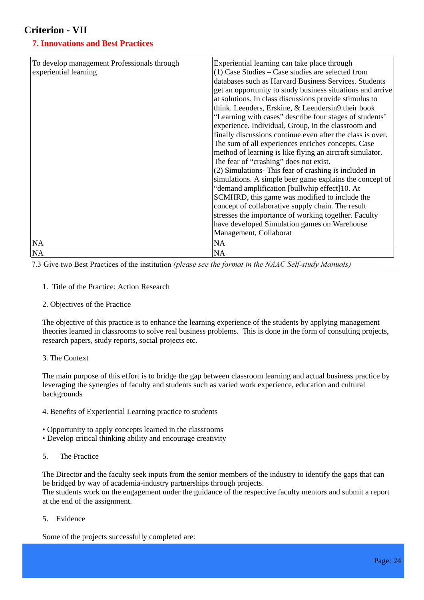### **Criterion - VII**

### **7. Innovations and Best Practices**

| To develop management Professionals through<br>experiential learning | Experiential learning can take place through<br>$(1)$ Case Studies – Case studies are selected from<br>databases such as Harvard Business Services. Students<br>get an opportunity to study business situations and arrive<br>at solutions. In class discussions provide stimulus to<br>think. Leenders, Erskine, & Leendersin9 their book<br>"Learning with cases" describe four stages of students'<br>experience. Individual, Group, in the classroom and<br>finally discussions continue even after the class is over.<br>The sum of all experiences enriches concepts. Case<br>method of learning is like flying an aircraft simulator.<br>The fear of "crashing" does not exist.<br>(2) Simulations- This fear of crashing is included in<br>simulations. A simple beer game explains the concept of<br>"demand amplification [bullwhip effect]10. At<br>SCMHRD, this game was modified to include the<br>concept of collaborative supply chain. The result<br>stresses the importance of working together. Faculty<br>have developed Simulation games on Warehouse<br>Management, Collaborat |
|----------------------------------------------------------------------|-----------------------------------------------------------------------------------------------------------------------------------------------------------------------------------------------------------------------------------------------------------------------------------------------------------------------------------------------------------------------------------------------------------------------------------------------------------------------------------------------------------------------------------------------------------------------------------------------------------------------------------------------------------------------------------------------------------------------------------------------------------------------------------------------------------------------------------------------------------------------------------------------------------------------------------------------------------------------------------------------------------------------------------------------------------------------------------------------------|
| <b>NA</b>                                                            | NA                                                                                                                                                                                                                                                                                                                                                                                                                                                                                                                                                                                                                                                                                                                                                                                                                                                                                                                                                                                                                                                                                                  |
| N <sub>A</sub>                                                       | <b>NA</b>                                                                                                                                                                                                                                                                                                                                                                                                                                                                                                                                                                                                                                                                                                                                                                                                                                                                                                                                                                                                                                                                                           |

7.3 Give two Best Practices of the institution (please see the format in the NAAC Self-study Manuals)

- 1. Title of the Practice: Action Research
- 2. Objectives of the Practice

The objective of this practice is to enhance the learning experience of the students by applying management theories learned in classrooms to solve real business problems. This is done in the form of consulting projects, research papers, study reports, social projects etc.

#### 3. The Context

The main purpose of this effort is to bridge the gap between classroom learning and actual business practice by leveraging the synergies of faculty and students such as varied work experience, education and cultural backgrounds

- 4. Benefits of Experiential Learning practice to students
- Opportunity to apply concepts learned in the classrooms
- Develop critical thinking ability and encourage creativity
- 5. The Practice

The Director and the faculty seek inputs from the senior members of the industry to identify the gaps that can be bridged by way of academia-industry partnerships through projects.

The students work on the engagement under the guidance of the respective faculty mentors and submit a report at the end of the assignment.

5. Evidence

Some of the projects successfully completed are: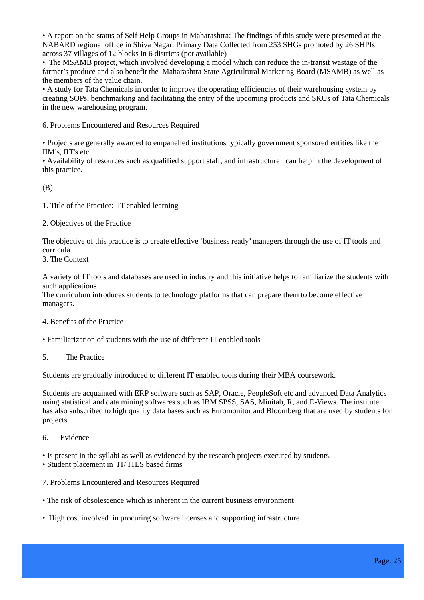• A report on the status of Self Help Groups in Maharashtra: The findings of this study were presented at the NABARD regional office in Shiva Nagar. Primary Data Collected from 253 SHGs promoted by 26 SHPIs across 37 villages of 12 blocks in 6 districts (pot available)

• The MSAMB project, which involved developing a model which can reduce the in-transit wastage of the farmer's produce and also benefit the Maharashtra State Agricultural Marketing Board (MSAMB) as well as the members of the value chain.

• A study for Tata Chemicals in order to improve the operating efficiencies of their warehousing system by creating SOPs, benchmarking and facilitating the entry of the upcoming products and SKUs of Tata Chemicals in the new warehousing program.

6. Problems Encountered and Resources Required

• Projects are generally awarded to empanelled institutions typically government sponsored entities like the IIM's, IIT's etc

• Availability of resources such as qualified support staff, and infrastructure can help in the development of this practice.

(B)

1. Title of the Practice: IT enabled learning

2. Objectives of the Practice

The objective of this practice is to create effective 'business ready' managers through the use of IT tools and curricula

3. The Context

A variety of IT tools and databases are used in industry and this initiative helps to familiarize the students with such applications

The curriculum introduces students to technology platforms that can prepare them to become effective managers.

#### 4. Benefits of the Practice

• Familiarization of students with the use of different IT enabled tools

5. The Practice

Students are gradually introduced to different IT enabled tools during their MBA coursework.

Students are acquainted with ERP software such as SAP, Oracle, PeopleSoft etc and advanced Data Analytics using statistical and data mining softwares such as IBM SPSS, SAS, Minitab, R, and E-Views. The institute has also subscribed to high quality data bases such as Euromonitor and Bloomberg that are used by students for projects.

6. Evidence

• Is present in the syllabi as well as evidenced by the research projects executed by students.

- Student placement in IT/ ITES based firms
- 7. Problems Encountered and Resources Required
- The risk of obsolescence which is inherent in the current business environment
- High cost involved in procuring software licenses and supporting infrastructure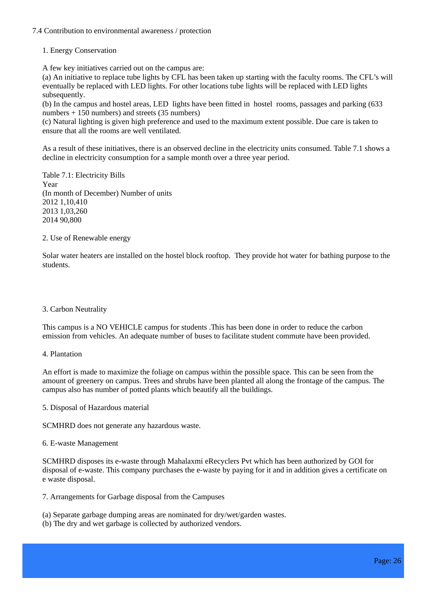#### 7.4 Contribution to environmental awareness / protection

#### 1. Energy Conservation

A few key initiatives carried out on the campus are:

(a) An initiative to replace tube lights by CFL has been taken up starting with the faculty rooms. The CFL's will eventually be replaced with LED lights. For other locations tube lights will be replaced with LED lights subsequently.

(b) In the campus and hostel areas, LED lights have been fitted in hostel rooms, passages and parking (633 numbers + 150 numbers) and streets (35 numbers)

(c) Natural lighting is given high preference and used to the maximum extent possible. Due care is taken to ensure that all the rooms are well ventilated.

As a result of these initiatives, there is an observed decline in the electricity units consumed. Table 7.1 shows a decline in electricity consumption for a sample month over a three year period.

Table 7.1: Electricity Bills Year (In month of December) Number of units 2012 1,10,410 2013 1,03,260 2014 90,800

#### 2. Use of Renewable energy

Solar water heaters are installed on the hostel block rooftop. They provide hot water for bathing purpose to the students.

#### 3. Carbon Neutrality

This campus is a NO VEHICLE campus for students .This has been done in order to reduce the carbon emission from vehicles. An adequate number of buses to facilitate student commute have been provided.

4. Plantation

An effort is made to maximize the foliage on campus within the possible space. This can be seen from the amount of greenery on campus. Trees and shrubs have been planted all along the frontage of the campus. The campus also has number of potted plants which beautify all the buildings.

5. Disposal of Hazardous material

SCMHRD does not generate any hazardous waste.

#### 6. E-waste Management

SCMHRD disposes its e-waste through Mahalaxmi eRecyclers Pvt which has been authorized by GOI for disposal of e-waste. This company purchases the e-waste by paying for it and in addition gives a certificate on e waste disposal.

- 7. Arrangements for Garbage disposal from the Campuses
- (a) Separate garbage dumping areas are nominated for dry/wet/garden wastes.
- (b) The dry and wet garbage is collected by authorized vendors.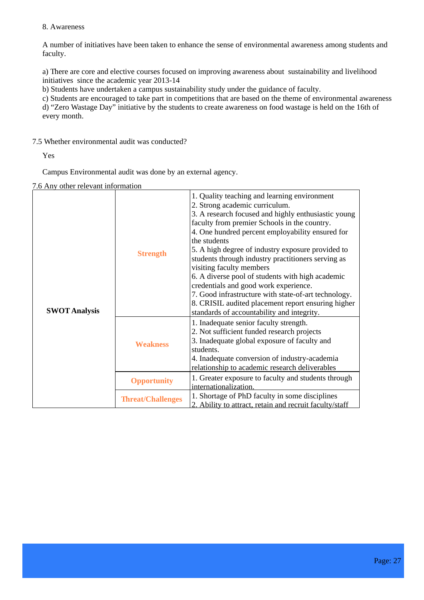#### 8. Awareness

A number of initiatives have been taken to enhance the sense of environmental awareness among students and faculty.

a) There are core and elective courses focused on improving awareness about sustainability and livelihood initiatives since the academic year 2013-14

b) Students have undertaken a campus sustainability study under the guidance of faculty.

c) Students are encouraged to take part in competitions that are based on the theme of environmental awareness d) "Zero Wastage Day" initiative by the students to create awareness on food wastage is held on the 16th of every month.

7.5 Whether environmental audit was conducted?

Yes

Campus Environmental audit was done by an external agency.

7.6 Any other relevant information

| <b>SWOT Analysis</b> | <b>Strength</b>          | 1. Quality teaching and learning environment<br>2. Strong academic curriculum.<br>3. A research focused and highly enthusiastic young<br>faculty from premier Schools in the country.<br>4. One hundred percent employability ensured for<br>the students<br>5. A high degree of industry exposure provided to<br>students through industry practitioners serving as<br>visiting faculty members<br>6. A diverse pool of students with high academic<br>credentials and good work experience.<br>7. Good infrastructure with state-of-art technology.<br>8. CRISIL audited placement report ensuring higher<br>standards of accountability and integrity. |
|----------------------|--------------------------|-----------------------------------------------------------------------------------------------------------------------------------------------------------------------------------------------------------------------------------------------------------------------------------------------------------------------------------------------------------------------------------------------------------------------------------------------------------------------------------------------------------------------------------------------------------------------------------------------------------------------------------------------------------|
|                      | <b>Weakness</b>          | 1. Inadequate senior faculty strength.<br>2. Not sufficient funded research projects<br>3. Inadequate global exposure of faculty and<br>students.<br>4. Inadequate conversion of industry-academia<br>relationship to academic research deliverables                                                                                                                                                                                                                                                                                                                                                                                                      |
|                      | <b>Opportunity</b>       | 1. Greater exposure to faculty and students through<br>internationalization.                                                                                                                                                                                                                                                                                                                                                                                                                                                                                                                                                                              |
|                      | <b>Threat/Challenges</b> | 1. Shortage of PhD faculty in some disciplines<br>2. Ability to attract, retain and recruit faculty/staff                                                                                                                                                                                                                                                                                                                                                                                                                                                                                                                                                 |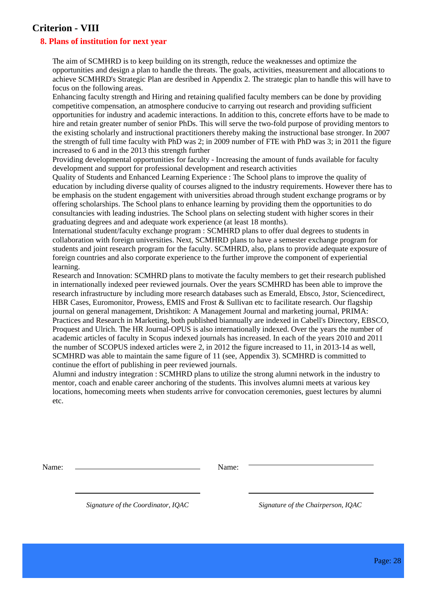### **Criterion - VIII**

#### **8. Plans of institution for next year**

The aim of SCMHRD is to keep building on its strength, reduce the weaknesses and optimize the opportunities and design a plan to handle the threats. The goals, activities, measurement and allocations to achieve SCMHRD's Strategic Plan are desribed in Appendix 2. The strategic plan to handle this will have to focus on the following areas.

Enhancing faculty strength and Hiring and retaining qualified faculty members can be done by providing competitive compensation, an atmosphere conducive to carrying out research and providing sufficient opportunities for industry and academic interactions. In addition to this, concrete efforts have to be made to hire and retain greater number of senior PhDs. This will serve the two-fold purpose of providing mentors to the existing scholarly and instructional practitioners thereby making the instructional base stronger. In 2007 the strength of full time faculty with PhD was 2; in 2009 number of FTE with PhD was 3; in 2011 the figure increased to 6 and in the 2013 this strength further

Providing developmental opportunities for faculty - Increasing the amount of funds available for faculty development and support for professional development and research activities

Quality of Students and Enhanced Learning Experience : The School plans to improve the quality of education by including diverse quality of courses aligned to the industry requirements. However there has to be emphasis on the student engagement with universities abroad through student exchange programs or by offering scholarships. The School plans to enhance learning by providing them the opportunities to do consultancies with leading industries. The School plans on selecting student with higher scores in their graduating degrees and and adequate work experience (at least 18 months).

International student/faculty exchange program : SCMHRD plans to offer dual degrees to students in collaboration with foreign universities. Next, SCMHRD plans to have a semester exchange program for students and joint research program for the faculty. SCMHRD, also, plans to provide adequate exposure of foreign countries and also corporate experience to the further improve the component of experiential learning.

Research and Innovation: SCMHRD plans to motivate the faculty members to get their research published in internationally indexed peer reviewed journals. Over the years SCMHRD has been able to improve the research infrastructure by including more research databases such as Emerald, Ebsco, Jstor, Sciencedirect, HBR Cases, Euromonitor, Prowess, EMIS and Frost & Sullivan etc to facilitate research. Our flagship journal on general management, Drishtikon: A Management Journal and marketing journal, PRIMA: Practices and Research in Marketing, both published biannually are indexed in Cabell's Directory, EBSCO, Proquest and Ulrich. The HR Journal-OPUS is also internationally indexed. Over the years the number of academic articles of faculty in Scopus indexed journals has increased. In each of the years 2010 and 2011 the number of SCOPUS indexed articles were 2, in 2012 the figure increased to 11, in 2013-14 as well, SCMHRD was able to maintain the same figure of 11 (see, Appendix 3). SCMHRD is committed to continue the effort of publishing in peer reviewed journals.

Alumni and industry integration : SCMHRD plans to utilize the strong alumni network in the industry to mentor, coach and enable career anchoring of the students. This involves alumni meets at various key locations, homecoming meets when students arrive for convocation ceremonies, guest lectures by alumni etc.

Name: Name: Name: Name: Name: Name: Name: Name: Name: Name: Name: Name: Name: Name: Name: Name: Name: Name: Name: Name: Name: Name: Name: Name: Name: Name: Name: Name: Name: Name: Name: Name: Name: Name: Name: Name: Name:

 *Signature of the Coordinator, IQAC Signature of the Chairperson, IQAC*